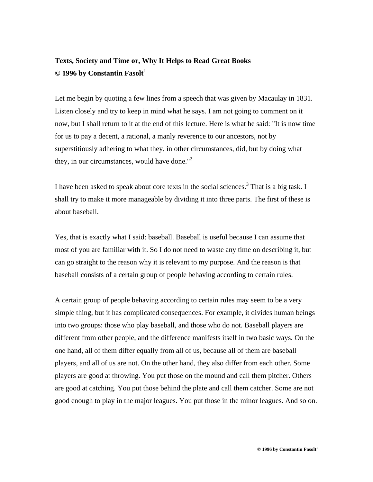## **Texts, Society and Time or, Why It Helps to Read Great Books © 1996 by Constantin Fasolt**

Let me begin by quoting a few lines from a speech that was given by Macaulay in 1831. Listen closely and try to keep in mind what he says. I am not going to comment on it now, but I shall return to it at the end of this lecture. Here is what he said: "It is now time for us to pay a decent, a rational, a manly reverence to our ancestors, not by superstitiously adhering to what they, in other circumstances, did, but by doing what they, in our circumstances, would have done." $2$ 

I have been asked to speak about core texts in the social sciences.<sup>3</sup> That is a big task. I shall try to make it more manageable by dividing it into three parts. The first of these is about baseball.

Yes, that is exactly what I said: baseball. Baseball is useful because I can assume that most of you are familiar with it. So I do not need to waste any time on describing it, but can go straight to the reason why it is relevant to my purpose. And the reason is that baseball consists of a certain group of people behaving according to certain rules.

A certain group of people behaving according to certain rules may seem to be a very simple thing, but it has complicated consequences. For example, it divides human beings into two groups: those who play baseball, and those who do not. Baseball players are different from other people, and the difference manifests itself in two basic ways. On the one hand, all of them differ equally from all of us, because all of them are baseball players, and all of us are not. On the other hand, they also differ from each other. Some players are good at throwing. You put those on the mound and call them pitcher. Others are good at catching. You put those behind the plate and call them catcher. Some are not good enough to play in the major leagues. You put those in the minor leagues. And so on.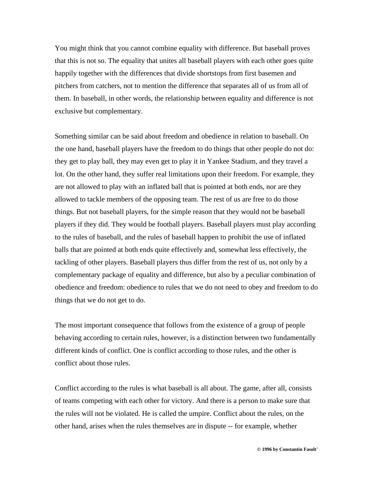You might think that you cannot combine equality with difference. But baseball proves that this is not so. The equality that unites all baseball players with each other goes quite happily together with the differences that divide shortstops from first basemen and pitchers from catchers, not to mention the difference that separates all of us from all of them. In baseball, in other words, the relationship between equality and difference is not exclusive but complementary.

Something similar can be said about freedom and obedience in relation to baseball. On the one hand, baseball players have the freedom to do things that other people do not do: they get to play ball, they may even get to play it in Yankee Stadium, and they travel a lot. On the other hand, they suffer real limitations upon their freedom. For example, they are not allowed to play with an inflated ball that is pointed at both ends, nor are they allowed to tackle members of the opposing team. The rest of us are free to do those things. But not baseball players, for the simple reason that they would not be baseball players if they did. They would be football players. Baseball players must play according to the rules of baseball, and the rules of baseball happen to prohibit the use of inflated balls that are pointed at both ends quite effectively and, somewhat less effectively, the tackling of other players. Baseball players thus differ from the rest of us, not only by a complementary package of equality and difference, but also by a peculiar combination of obedience and freedom: obedience to rules that we do not need to obey and freedom to do things that we do not get to do.

The most important consequence that follows from the existence of a group of people behaving according to certain rules, however, is a distinction between two fundamentally different kinds of conflict. One is conflict according to those rules, and the other is conflict about those rules.

Conflict according to the rules is what baseball is all about. The game, after all, consists of teams competing with each other for victory. And there is a person to make sure that the rules will not be violated. He is called the umpire. Conflict about the rules, on the other hand, arises when the rules themselves are in dispute -- for example, whether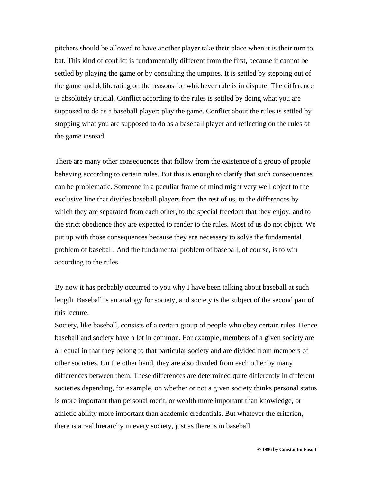pitchers should be allowed to have another player take their place when it is their turn to bat. This kind of conflict is fundamentally different from the first, because it cannot be settled by playing the game or by consulting the umpires. It is settled by stepping out of the game and deliberating on the reasons for whichever rule is in dispute. The difference is absolutely crucial. Conflict according to the rules is settled by doing what you are supposed to do as a baseball player: play the game. Conflict about the rules is settled by stopping what you are supposed to do as a baseball player and reflecting on the rules of the game instead.

There are many other consequences that follow from the existence of a group of people behaving according to certain rules. But this is enough to clarify that such consequences can be problematic. Someone in a peculiar frame of mind might very well object to the exclusive line that divides baseball players from the rest of us, to the differences by which they are separated from each other, to the special freedom that they enjoy, and to the strict obedience they are expected to render to the rules. Most of us do not object. We put up with those consequences because they are necessary to solve the fundamental problem of baseball. And the fundamental problem of baseball, of course, is to win according to the rules.

By now it has probably occurred to you why I have been talking about baseball at such length. Baseball is an analogy for society, and society is the subject of the second part of this lecture.

Society, like baseball, consists of a certain group of people who obey certain rules. Hence baseball and society have a lot in common. For example, members of a given society are all equal in that they belong to that particular society and are divided from members of other societies. On the other hand, they are also divided from each other by many differences between them. These differences are determined quite differently in different societies depending, for example, on whether or not a given society thinks personal status is more important than personal merit, or wealth more important than knowledge, or athletic ability more important than academic credentials. But whatever the criterion, there is a real hierarchy in every society, just as there is in baseball.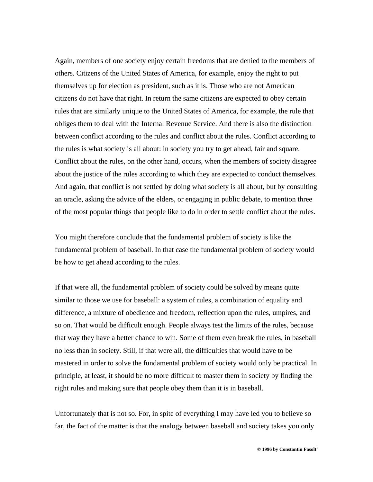Again, members of one society enjoy certain freedoms that are denied to the members of others. Citizens of the United States of America, for example, enjoy the right to put themselves up for election as president, such as it is. Those who are not American citizens do not have that right. In return the same citizens are expected to obey certain rules that are similarly unique to the United States of America, for example, the rule that obliges them to deal with the Internal Revenue Service. And there is also the distinction between conflict according to the rules and conflict about the rules. Conflict according to the rules is what society is all about: in society you try to get ahead, fair and square. Conflict about the rules, on the other hand, occurs, when the members of society disagree about the justice of the rules according to which they are expected to conduct themselves. And again, that conflict is not settled by doing what society is all about, but by consulting an oracle, asking the advice of the elders, or engaging in public debate, to mention three of the most popular things that people like to do in order to settle conflict about the rules.

You might therefore conclude that the fundamental problem of society is like the fundamental problem of baseball. In that case the fundamental problem of society would be how to get ahead according to the rules.

If that were all, the fundamental problem of society could be solved by means quite similar to those we use for baseball: a system of rules, a combination of equality and difference, a mixture of obedience and freedom, reflection upon the rules, umpires, and so on. That would be difficult enough. People always test the limits of the rules, because that way they have a better chance to win. Some of them even break the rules, in baseball no less than in society. Still, if that were all, the difficulties that would have to be mastered in order to solve the fundamental problem of society would only be practical. In principle, at least, it should be no more difficult to master them in society by finding the right rules and making sure that people obey them than it is in baseball.

Unfortunately that is not so. For, in spite of everything I may have led you to believe so far, the fact of the matter is that the analogy between baseball and society takes you only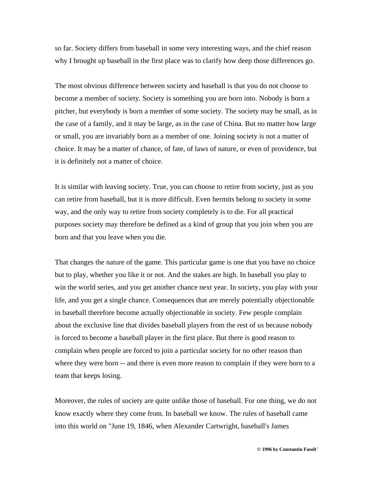so far. Society differs from baseball in some very interesting ways, and the chief reason why I brought up baseball in the first place was to clarify how deep those differences go.

The most obvious difference between society and baseball is that you do not choose to become a member of society. Society is something you are born into. Nobody is born a pitcher, but everybody is born a member of some society. The society may be small, as in the case of a family, and it may be large, as in the case of China. But no matter how large or small, you are invariably born as a member of one. Joining society is not a matter of choice. It may be a matter of chance, of fate, of laws of nature, or even of providence, but it is definitely not a matter of choice.

It is similar with leaving society. True, you can choose to retire from society, just as you can retire from baseball, but it is more difficult. Even hermits belong to society in some way, and the only way to retire from society completely is to die. For all practical purposes society may therefore be defined as a kind of group that you join when you are born and that you leave when you die.

That changes the nature of the game. This particular game is one that you have no choice but to play, whether you like it or not. And the stakes are high. In baseball you play to win the world series, and you get another chance next year. In society, you play with your life, and you get a single chance. Consequences that are merely potentially objectionable in baseball therefore become actually objectionable in society. Few people complain about the exclusive line that divides baseball players from the rest of us because nobody is forced to become a baseball player in the first place. But there is good reason to complain when people are forced to join a particular society for no other reason than where they were born  $-$  and there is even more reason to complain if they were born to a team that keeps losing.

Moreover, the rules of society are quite unlike those of baseball. For one thing, we do not know exactly where they come from. In baseball we know. The rules of baseball came into this world on "June 19, 1846, when Alexander Cartwright, baseball's James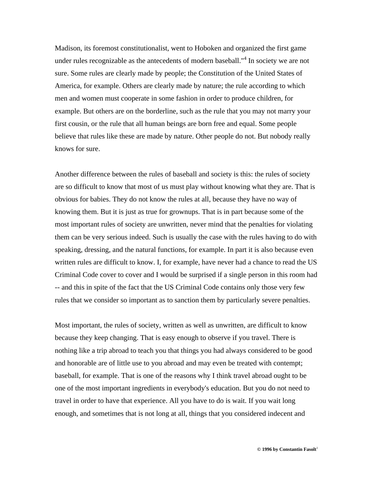Madison, its foremost constitutionalist, went to Hoboken and organized the first game under rules recognizable as the antecedents of modern baseball."<sup>4</sup> In society we are not sure. Some rules are clearly made by people; the Constitution of the United States of America, for example. Others are clearly made by nature; the rule according to which men and women must cooperate in some fashion in order to produce children, for example. But others are on the borderline, such as the rule that you may not marry your first cousin, or the rule that all human beings are born free and equal. Some people believe that rules like these are made by nature. Other people do not. But nobody really knows for sure.

Another difference between the rules of baseball and society is this: the rules of society are so difficult to know that most of us must play without knowing what they are. That is obvious for babies. They do not know the rules at all, because they have no way of knowing them. But it is just as true for grownups. That is in part because some of the most important rules of society are unwritten, never mind that the penalties for violating them can be very serious indeed. Such is usually the case with the rules having to do with speaking, dressing, and the natural functions, for example. In part it is also because even written rules are difficult to know. I, for example, have never had a chance to read the US Criminal Code cover to cover and I would be surprised if a single person in this room had -- and this in spite of the fact that the US Criminal Code contains only those very few rules that we consider so important as to sanction them by particularly severe penalties.

Most important, the rules of society, written as well as unwritten, are difficult to know because they keep changing. That is easy enough to observe if you travel. There is nothing like a trip abroad to teach you that things you had always considered to be good and honorable are of little use to you abroad and may even be treated with contempt; baseball, for example. That is one of the reasons why I think travel abroad ought to be one of the most important ingredients in everybody's education. But you do not need to travel in order to have that experience. All you have to do is wait. If you wait long enough, and sometimes that is not long at all, things that you considered indecent and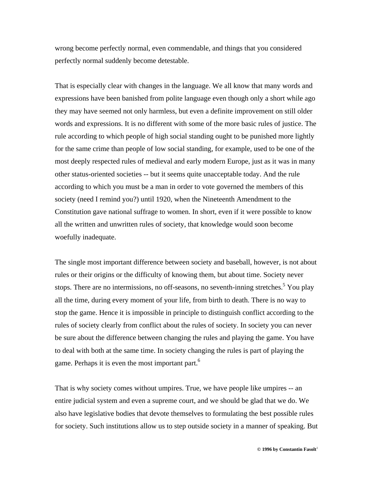wrong become perfectly normal, even commendable, and things that you considered perfectly normal suddenly become detestable.

That is especially clear with changes in the language. We all know that many words and expressions have been banished from polite language even though only a short while ago they may have seemed not only harmless, but even a definite improvement on still older words and expressions. It is no different with some of the more basic rules of justice. The rule according to which people of high social standing ought to be punished more lightly for the same crime than people of low social standing, for example, used to be one of the most deeply respected rules of medieval and early modern Europe, just as it was in many other status-oriented societies -- but it seems quite unacceptable today. And the rule according to which you must be a man in order to vote governed the members of this society (need I remind you?) until 1920, when the Nineteenth Amendment to the Constitution gave national suffrage to women. In short, even if it were possible to know all the written and unwritten rules of society, that knowledge would soon become woefully inadequate.

The single most important difference between society and baseball, however, is not about rules or their origins or the difficulty of knowing them, but about time. Society never stops. There are no intermissions, no off-seasons, no seventh-inning stretches.<sup>5</sup> You play all the time, during every moment of your life, from birth to death. There is no way to stop the game. Hence it is impossible in principle to distinguish conflict according to the rules of society clearly from conflict about the rules of society. In society you can never be sure about the difference between changing the rules and playing the game. You have to deal with both at the same time. In society changing the rules is part of playing the game. Perhaps it is even the most important part.<sup>6</sup>

That is why society comes without umpires. True, we have people like umpires -- an entire judicial system and even a supreme court, and we should be glad that we do. We also have legislative bodies that devote themselves to formulating the best possible rules for society. Such institutions allow us to step outside society in a manner of speaking. But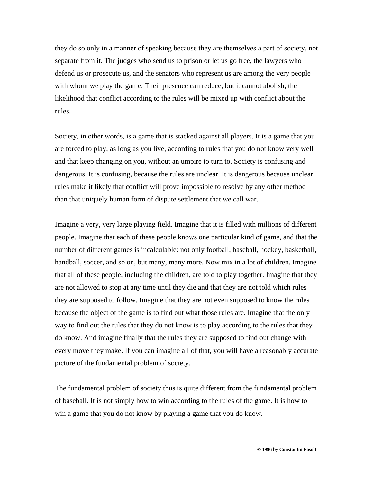they do so only in a manner of speaking because they are themselves a part of society, not separate from it. The judges who send us to prison or let us go free, the lawyers who defend us or prosecute us, and the senators who represent us are among the very people with whom we play the game. Their presence can reduce, but it cannot abolish, the likelihood that conflict according to the rules will be mixed up with conflict about the rules.

Society, in other words, is a game that is stacked against all players. It is a game that you are forced to play, as long as you live, according to rules that you do not know very well and that keep changing on you, without an umpire to turn to. Society is confusing and dangerous. It is confusing, because the rules are unclear. It is dangerous because unclear rules make it likely that conflict will prove impossible to resolve by any other method than that uniquely human form of dispute settlement that we call war.

Imagine a very, very large playing field. Imagine that it is filled with millions of different people. Imagine that each of these people knows one particular kind of game, and that the number of different games is incalculable: not only football, baseball, hockey, basketball, handball, soccer, and so on, but many, many more. Now mix in a lot of children. Imagine that all of these people, including the children, are told to play together. Imagine that they are not allowed to stop at any time until they die and that they are not told which rules they are supposed to follow. Imagine that they are not even supposed to know the rules because the object of the game is to find out what those rules are. Imagine that the only way to find out the rules that they do not know is to play according to the rules that they do know. And imagine finally that the rules they are supposed to find out change with every move they make. If you can imagine all of that, you will have a reasonably accurate picture of the fundamental problem of society.

The fundamental problem of society thus is quite different from the fundamental problem of baseball. It is not simply how to win according to the rules of the game. It is how to win a game that you do not know by playing a game that you do know.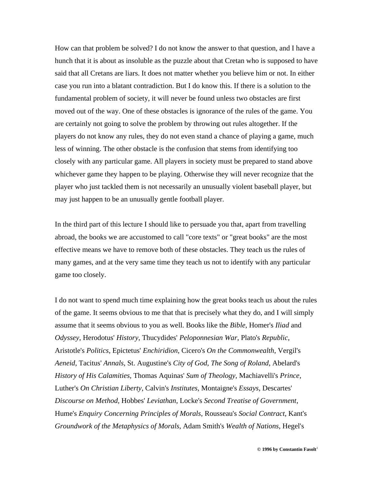How can that problem be solved? I do not know the answer to that question, and I have a hunch that it is about as insoluble as the puzzle about that Cretan who is supposed to have said that all Cretans are liars. It does not matter whether you believe him or not. In either case you run into a blatant contradiction. But I do know this. If there is a solution to the fundamental problem of society, it will never be found unless two obstacles are first moved out of the way. One of these obstacles is ignorance of the rules of the game. You are certainly not going to solve the problem by throwing out rules altogether. If the players do not know any rules, they do not even stand a chance of playing a game, much less of winning. The other obstacle is the confusion that stems from identifying too closely with any particular game. All players in society must be prepared to stand above whichever game they happen to be playing. Otherwise they will never recognize that the player who just tackled them is not necessarily an unusually violent baseball player, but may just happen to be an unusually gentle football player.

In the third part of this lecture I should like to persuade you that, apart from travelling abroad, the books we are accustomed to call "core texts" or "great books" are the most effective means we have to remove both of these obstacles. They teach us the rules of many games, and at the very same time they teach us not to identify with any particular game too closely.

I do not want to spend much time explaining how the great books teach us about the rules of the game. It seems obvious to me that that is precisely what they do, and I will simply assume that it seems obvious to you as well. Books like the *Bible*, Homer's *Iliad* and *Odyssey*, Herodotus' *History*, Thucydides' *Peloponnesian War*, Plato's *Republic*, Aristotle's *Politics*, Epictetus' *Enchiridion*, Cicero's *On the Commonwealth*, Vergil's *Aeneid*, Tacitus' *Annals*, St. Augustine's *City of God*, *The Song of Roland*, Abelard's *History of His Calamities*, Thomas Aquinas' *Sum of Theology*, Machiavelli's *Prince*, Luther's *On Christian Liberty*, Calvin's *Institutes*, Montaigne's *Essays*, Descartes' *Discourse on Method*, Hobbes' *Leviathan*, Locke's *Second Treatise of Government*, Hume's *Enquiry Concerning Principles of Morals*, Rousseau's *Social Contract*, Kant's *Groundwork of the Metaphysics of Morals*, Adam Smith's *Wealth of Nations*, Hegel's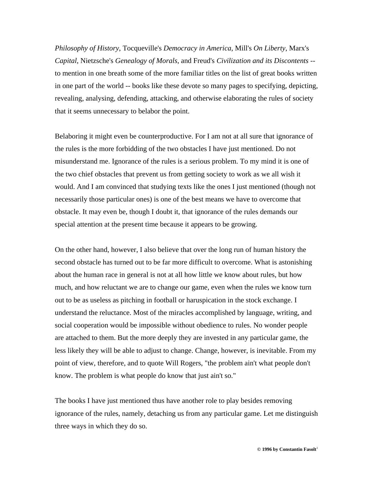*Philosophy of History*, Tocqueville's *Democracy in America*, Mill's *On Liberty*, Marx's *Capital*, Nietzsche's *Genealogy of Morals*, and Freud's *Civilization and its Discontents* - to mention in one breath some of the more familiar titles on the list of great books written in one part of the world -- books like these devote so many pages to specifying, depicting, revealing, analysing, defending, attacking, and otherwise elaborating the rules of society that it seems unnecessary to belabor the point.

Belaboring it might even be counterproductive. For I am not at all sure that ignorance of the rules is the more forbidding of the two obstacles I have just mentioned. Do not misunderstand me. Ignorance of the rules is a serious problem. To my mind it is one of the two chief obstacles that prevent us from getting society to work as we all wish it would. And I am convinced that studying texts like the ones I just mentioned (though not necessarily those particular ones) is one of the best means we have to overcome that obstacle. It may even be, though I doubt it, that ignorance of the rules demands our special attention at the present time because it appears to be growing.

On the other hand, however, I also believe that over the long run of human history the second obstacle has turned out to be far more difficult to overcome. What is astonishing about the human race in general is not at all how little we know about rules, but how much, and how reluctant we are to change our game, even when the rules we know turn out to be as useless as pitching in football or haruspication in the stock exchange. I understand the reluctance. Most of the miracles accomplished by language, writing, and social cooperation would be impossible without obedience to rules. No wonder people are attached to them. But the more deeply they are invested in any particular game, the less likely they will be able to adjust to change. Change, however, is inevitable. From my point of view, therefore, and to quote Will Rogers, "the problem ain't what people don't know. The problem is what people do know that just ain't so."

The books I have just mentioned thus have another role to play besides removing ignorance of the rules, namely, detaching us from any particular game. Let me distinguish three ways in which they do so.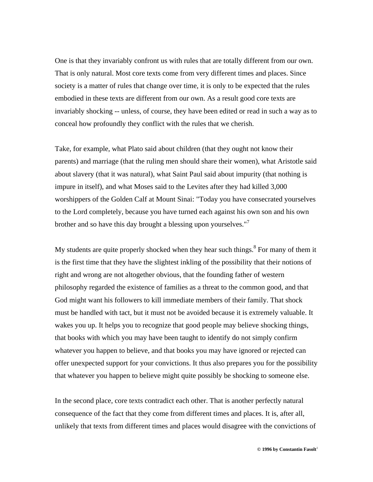One is that they invariably confront us with rules that are totally different from our own. That is only natural. Most core texts come from very different times and places. Since society is a matter of rules that change over time, it is only to be expected that the rules embodied in these texts are different from our own. As a result good core texts are invariably shocking -- unless, of course, they have been edited or read in such a way as to conceal how profoundly they conflict with the rules that we cherish.

Take, for example, what Plato said about children (that they ought not know their parents) and marriage (that the ruling men should share their women), what Aristotle said about slavery (that it was natural), what Saint Paul said about impurity (that nothing is impure in itself), and what Moses said to the Levites after they had killed 3,000 worshippers of the Golden Calf at Mount Sinai: "Today you have consecrated yourselves to the Lord completely, because you have turned each against his own son and his own brother and so have this day brought a blessing upon yourselves."<sup>7</sup>

My students are quite properly shocked when they hear such things.<sup>8</sup> For many of them it is the first time that they have the slightest inkling of the possibility that their notions of right and wrong are not altogether obvious, that the founding father of western philosophy regarded the existence of families as a threat to the common good, and that God might want his followers to kill immediate members of their family. That shock must be handled with tact, but it must not be avoided because it is extremely valuable. It wakes you up. It helps you to recognize that good people may believe shocking things, that books with which you may have been taught to identify do not simply confirm whatever you happen to believe, and that books you may have ignored or rejected can offer unexpected support for your convictions. It thus also prepares you for the possibility that whatever you happen to believe might quite possibly be shocking to someone else.

In the second place, core texts contradict each other. That is another perfectly natural consequence of the fact that they come from different times and places. It is, after all, unlikely that texts from different times and places would disagree with the convictions of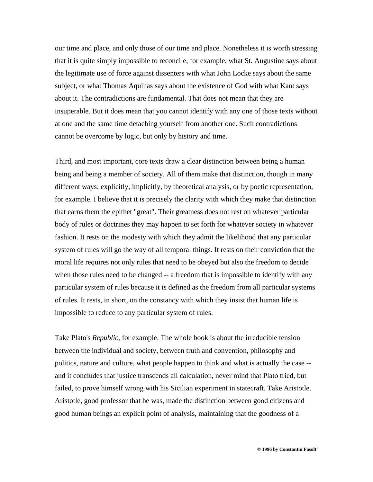our time and place, and only those of our time and place. Nonetheless it is worth stressing that it is quite simply impossible to reconcile, for example, what St. Augustine says about the legitimate use of force against dissenters with what John Locke says about the same subject, or what Thomas Aquinas says about the existence of God with what Kant says about it. The contradictions are fundamental. That does not mean that they are insuperable. But it does mean that you cannot identify with any one of those texts without at one and the same time detaching yourself from another one. Such contradictions cannot be overcome by logic, but only by history and time.

Third, and most important, core texts draw a clear distinction between being a human being and being a member of society. All of them make that distinction, though in many different ways: explicitly, implicitly, by theoretical analysis, or by poetic representation, for example. I believe that it is precisely the clarity with which they make that distinction that earns them the epithet "great". Their greatness does not rest on whatever particular body of rules or doctrines they may happen to set forth for whatever society in whatever fashion. It rests on the modesty with which they admit the likelihood that any particular system of rules will go the way of all temporal things. It rests on their conviction that the moral life requires not only rules that need to be obeyed but also the freedom to decide when those rules need to be changed -- a freedom that is impossible to identify with any particular system of rules because it is defined as the freedom from all particular systems of rules. It rests, in short, on the constancy with which they insist that human life is impossible to reduce to any particular system of rules.

Take Plato's *Republic*, for example. The whole book is about the irreducible tension between the individual and society, between truth and convention, philosophy and politics, nature and culture, what people happen to think and what is actually the case - and it concludes that justice transcends all calculation, never mind that Plato tried, but failed, to prove himself wrong with his Sicilian experiment in statecraft. Take Aristotle. Aristotle, good professor that he was, made the distinction between good citizens and good human beings an explicit point of analysis, maintaining that the goodness of a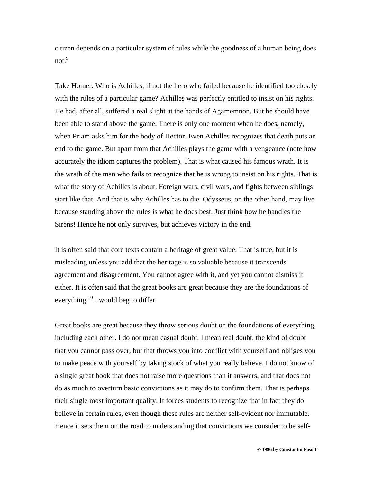citizen depends on a particular system of rules while the goodness of a human being does not.<sup>9</sup>

Take Homer. Who is Achilles, if not the hero who failed because he identified too closely with the rules of a particular game? Achilles was perfectly entitled to insist on his rights. He had, after all, suffered a real slight at the hands of Agamemnon. But he should have been able to stand above the game. There is only one moment when he does, namely, when Priam asks him for the body of Hector. Even Achilles recognizes that death puts an end to the game. But apart from that Achilles plays the game with a vengeance (note how accurately the idiom captures the problem). That is what caused his famous wrath. It is the wrath of the man who fails to recognize that he is wrong to insist on his rights. That is what the story of Achilles is about. Foreign wars, civil wars, and fights between siblings start like that. And that is why Achilles has to die. Odysseus, on the other hand, may live because standing above the rules is what he does best. Just think how he handles the Sirens! Hence he not only survives, but achieves victory in the end.

It is often said that core texts contain a heritage of great value. That is true, but it is misleading unless you add that the heritage is so valuable because it transcends agreement and disagreement. You cannot agree with it, and yet you cannot dismiss it either. It is often said that the great books are great because they are the foundations of everything.<sup>10</sup> I would beg to differ.

Great books are great because they throw serious doubt on the foundations of everything, including each other. I do not mean casual doubt. I mean real doubt, the kind of doubt that you cannot pass over, but that throws you into conflict with yourself and obliges you to make peace with yourself by taking stock of what you really believe. I do not know of a single great book that does not raise more questions than it answers, and that does not do as much to overturn basic convictions as it may do to confirm them. That is perhaps their single most important quality. It forces students to recognize that in fact they do believe in certain rules, even though these rules are neither self-evident nor immutable. Hence it sets them on the road to understanding that convictions we consider to be self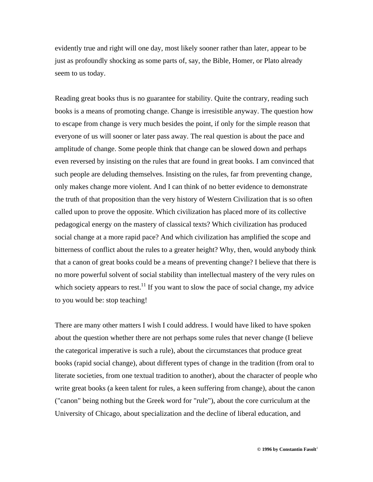evidently true and right will one day, most likely sooner rather than later, appear to be just as profoundly shocking as some parts of, say, the Bible, Homer, or Plato already seem to us today.

Reading great books thus is no guarantee for stability. Quite the contrary, reading such books is a means of promoting change. Change is irresistible anyway. The question how to escape from change is very much besides the point, if only for the simple reason that everyone of us will sooner or later pass away. The real question is about the pace and amplitude of change. Some people think that change can be slowed down and perhaps even reversed by insisting on the rules that are found in great books. I am convinced that such people are deluding themselves. Insisting on the rules, far from preventing change, only makes change more violent. And I can think of no better evidence to demonstrate the truth of that proposition than the very history of Western Civilization that is so often called upon to prove the opposite. Which civilization has placed more of its collective pedagogical energy on the mastery of classical texts? Which civilization has produced social change at a more rapid pace? And which civilization has amplified the scope and bitterness of conflict about the rules to a greater height? Why, then, would anybody think that a canon of great books could be a means of preventing change? I believe that there is no more powerful solvent of social stability than intellectual mastery of the very rules on which society appears to rest.<sup>11</sup> If you want to slow the pace of social change, my advice to you would be: stop teaching!

There are many other matters I wish I could address. I would have liked to have spoken about the question whether there are not perhaps some rules that never change (I believe the categorical imperative is such a rule), about the circumstances that produce great books (rapid social change), about different types of change in the tradition (from oral to literate societies, from one textual tradition to another), about the character of people who write great books (a keen talent for rules, a keen suffering from change), about the canon ("canon" being nothing but the Greek word for "rule"), about the core curriculum at the University of Chicago, about specialization and the decline of liberal education, and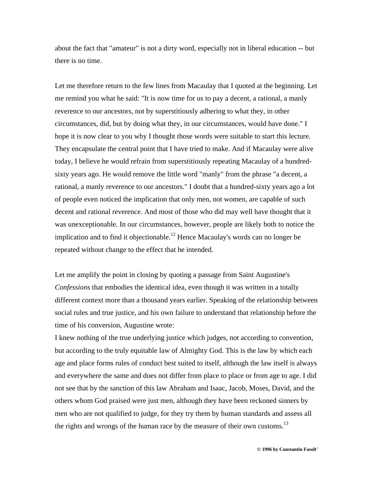about the fact that "amateur" is not a dirty word, especially not in liberal education -- but there is no time.

Let me therefore return to the few lines from Macaulay that I quoted at the beginning. Let me remind you what he said: "It is now time for us to pay a decent, a rational, a manly reverence to our ancestors, not by superstitiously adhering to what they, in other circumstances, did, but by doing what they, in our circumstances, would have done." I hope it is now clear to you why I thought those words were suitable to start this lecture. They encapsulate the central point that I have tried to make. And if Macaulay were alive today, I believe he would refrain from superstitiously repeating Macaulay of a hundredsixty years ago. He would remove the little word "manly" from the phrase "a decent, a rational, a manly reverence to our ancestors." I doubt that a hundred-sixty years ago a lot of people even noticed the implication that only men, not women, are capable of such decent and rational reverence. And most of those who did may well have thought that it was unexceptionable. In our circumstances, however, people are likely both to notice the implication and to find it objectionable.<sup>12</sup> Hence Macaulay's words can no longer be repeated without change to the effect that he intended.

Let me amplify the point in closing by quoting a passage from Saint Augustine's *Confessions* that embodies the identical idea, even though it was written in a totally different context more than a thousand years earlier. Speaking of the relationship between social rules and true justice, and his own failure to understand that relationship before the time of his conversion, Augustine wrote:

I knew nothing of the true underlying justice which judges, not according to convention, but according to the truly equitable law of Almighty God. This is the law by which each age and place forms rules of conduct best suited to itself, although the law itself is always and everywhere the same and does not differ from place to place or from age to age. I did not see that by the sanction of this law Abraham and Isaac, Jacob, Moses, David, and the others whom God praised were just men, although they have been reckoned sinners by men who are not qualified to judge, for they try them by human standards and assess all the rights and wrongs of the human race by the measure of their own customs.<sup>13</sup>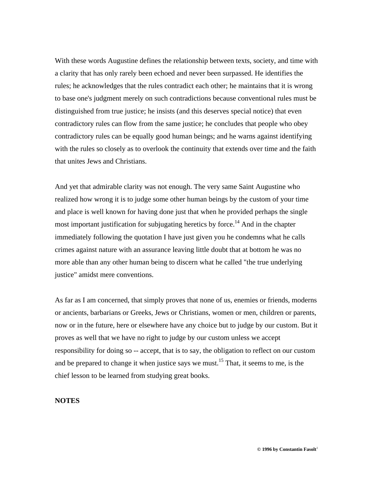With these words Augustine defines the relationship between texts, society, and time with a clarity that has only rarely been echoed and never been surpassed. He identifies the rules; he acknowledges that the rules contradict each other; he maintains that it is wrong to base one's judgment merely on such contradictions because conventional rules must be distinguished from true justice; he insists (and this deserves special notice) that even contradictory rules can flow from the same justice; he concludes that people who obey contradictory rules can be equally good human beings; and he warns against identifying with the rules so closely as to overlook the continuity that extends over time and the faith that unites Jews and Christians.

And yet that admirable clarity was not enough. The very same Saint Augustine who realized how wrong it is to judge some other human beings by the custom of your time and place is well known for having done just that when he provided perhaps the single most important justification for subjugating heretics by force.<sup>14</sup> And in the chapter immediately following the quotation I have just given you he condemns what he calls crimes against nature with an assurance leaving little doubt that at bottom he was no more able than any other human being to discern what he called "the true underlying justice" amidst mere conventions.

As far as I am concerned, that simply proves that none of us, enemies or friends, moderns or ancients, barbarians or Greeks, Jews or Christians, women or men, children or parents, now or in the future, here or elsewhere have any choice but to judge by our custom. But it proves as well that we have no right to judge by our custom unless we accept responsibility for doing so -- accept, that is to say, the obligation to reflect on our custom and be prepared to change it when justice says we must.<sup>15</sup> That, it seems to me, is the chief lesson to be learned from studying great books.

## **NOTES**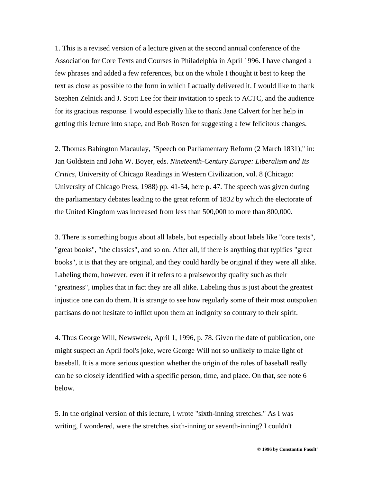1. This is a revised version of a lecture given at the second annual conference of the Association for Core Texts and Courses in Philadelphia in April 1996. I have changed a few phrases and added a few references, but on the whole I thought it best to keep the text as close as possible to the form in which I actually delivered it. I would like to thank Stephen Zelnick and J. Scott Lee for their invitation to speak to ACTC, and the audience for its gracious response. I would especially like to thank Jane Calvert for her help in getting this lecture into shape, and Bob Rosen for suggesting a few felicitous changes.

2. Thomas Babington Macaulay, "Speech on Parliamentary Reform (2 March 1831)," in: Jan Goldstein and John W. Boyer, eds. *Nineteenth-Century Europe: Liberalism and Its Critics*, University of Chicago Readings in Western Civilization, vol. 8 (Chicago: University of Chicago Press, 1988) pp. 41-54, here p. 47. The speech was given during the parliamentary debates leading to the great reform of 1832 by which the electorate of the United Kingdom was increased from less than 500,000 to more than 800,000.

3. There is something bogus about all labels, but especially about labels like "core texts", "great books", "the classics", and so on. After all, if there is anything that typifies "great books", it is that they are original, and they could hardly be original if they were all alike. Labeling them, however, even if it refers to a praiseworthy quality such as their "greatness", implies that in fact they are all alike. Labeling thus is just about the greatest injustice one can do them. It is strange to see how regularly some of their most outspoken partisans do not hesitate to inflict upon them an indignity so contrary to their spirit.

4. Thus George Will, Newsweek, April 1, 1996, p. 78. Given the date of publication, one might suspect an April fool's joke, were George Will not so unlikely to make light of baseball. It is a more serious question whether the origin of the rules of baseball really can be so closely identified with a specific person, time, and place. On that, see note 6 below.

5. In the original version of this lecture, I wrote "sixth-inning stretches." As I was writing, I wondered, were the stretches sixth-inning or seventh-inning? I couldn't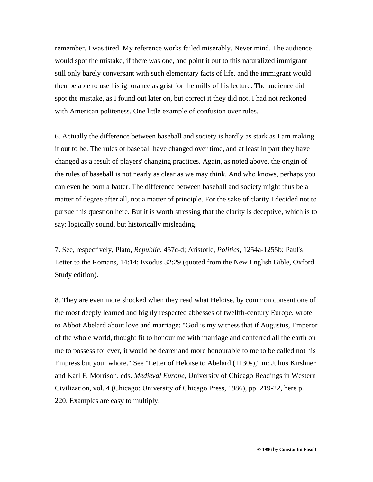remember. I was tired. My reference works failed miserably. Never mind. The audience would spot the mistake, if there was one, and point it out to this naturalized immigrant still only barely conversant with such elementary facts of life, and the immigrant would then be able to use his ignorance as grist for the mills of his lecture. The audience did spot the mistake, as I found out later on, but correct it they did not. I had not reckoned with American politeness. One little example of confusion over rules.

6. Actually the difference between baseball and society is hardly as stark as I am making it out to be. The rules of baseball have changed over time, and at least in part they have changed as a result of players' changing practices. Again, as noted above, the origin of the rules of baseball is not nearly as clear as we may think. And who knows, perhaps you can even be born a batter. The difference between baseball and society might thus be a matter of degree after all, not a matter of principle. For the sake of clarity I decided not to pursue this question here. But it is worth stressing that the clarity is deceptive, which is to say: logically sound, but historically misleading.

7. See, respectively, Plato, *Republic*, 457c-d; Aristotle, *Politics,* 1254a-1255b; Paul's Letter to the Romans, 14:14; Exodus 32:29 (quoted from the New English Bible, Oxford Study edition).

8. They are even more shocked when they read what Heloise, by common consent one of the most deeply learned and highly respected abbesses of twelfth-century Europe, wrote to Abbot Abelard about love and marriage: "God is my witness that if Augustus, Emperor of the whole world, thought fit to honour me with marriage and conferred all the earth on me to possess for ever, it would be dearer and more honourable to me to be called not his Empress but your whore." See "Letter of Heloise to Abelard (1130s)," in: Julius Kirshner and Karl F. Morrison, eds. *Medieval Europe*, University of Chicago Readings in Western Civilization, vol. 4 (Chicago: University of Chicago Press, 1986), pp. 219-22, here p. 220. Examples are easy to multiply.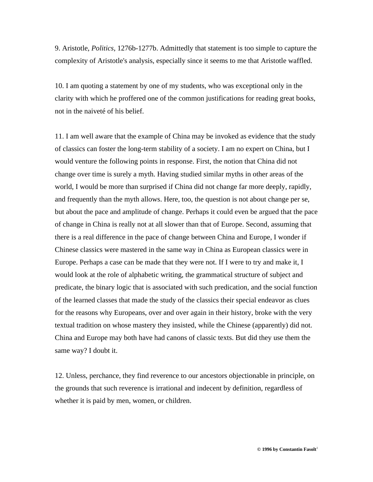9. Aristotle, *Politics*, 1276b-1277b. Admittedly that statement is too simple to capture the complexity of Aristotle's analysis, especially since it seems to me that Aristotle waffled.

10. I am quoting a statement by one of my students, who was exceptional only in the clarity with which he proffered one of the common justifications for reading great books, not in the naiveté of his belief.

11. I am well aware that the example of China may be invoked as evidence that the study of classics can foster the long-term stability of a society. I am no expert on China, but I would venture the following points in response. First, the notion that China did not change over time is surely a myth. Having studied similar myths in other areas of the world, I would be more than surprised if China did not change far more deeply, rapidly, and frequently than the myth allows. Here, too, the question is not about change per se, but about the pace and amplitude of change. Perhaps it could even be argued that the pace of change in China is really not at all slower than that of Europe. Second, assuming that there is a real difference in the pace of change between China and Europe, I wonder if Chinese classics were mastered in the same way in China as European classics were in Europe. Perhaps a case can be made that they were not. If I were to try and make it, I would look at the role of alphabetic writing, the grammatical structure of subject and predicate, the binary logic that is associated with such predication, and the social function of the learned classes that made the study of the classics their special endeavor as clues for the reasons why Europeans, over and over again in their history, broke with the very textual tradition on whose mastery they insisted, while the Chinese (apparently) did not. China and Europe may both have had canons of classic texts. But did they use them the same way? I doubt it.

12. Unless, perchance, they find reverence to our ancestors objectionable in principle, on the grounds that such reverence is irrational and indecent by definition, regardless of whether it is paid by men, women, or children.